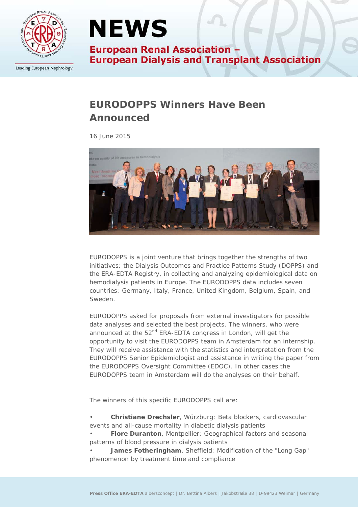

Leading European Nephrology

## **NEWS**

**European Renal Association -European Dialysis and Transplant Association** 

### **EURODOPPS Winners Have Been Announced**

*16 June 2015*



EURODOPPS is a joint venture that brings together the strengths of two initiatives; the Dialysis Outcomes and Practice Patterns Study (DOPPS) and the ERA-EDTA Registry, in collecting and analyzing epidemiological data on hemodialysis patients in Europe. The EURODOPPS data includes seven countries: Germany, Italy, France, United Kingdom, Belgium, Spain, and Sweden.

EURODOPPS asked for proposals from external investigators for possible data analyses and selected the best projects. The winners, who were announced at the 52<sup>nd</sup> ERA-EDTA congress in London, will get the opportunity to visit the EURODOPPS team in Amsterdam for an internship. They will receive assistance with the statistics and interpretation from the EURODOPPS Senior Epidemiologist and assistance in writing the paper from the EURODOPPS Oversight Committee (EDOC). In other cases the EURODOPPS team in Amsterdam will do the analyses on their behalf.

The winners of this specific EURODOPPS call are:

• **Christiane Drechsler**, Würzburg: Beta blockers, cardiovascular events and all-cause mortality in diabetic dialysis patients

• **Flore Duranton**, Montpellier: Geographical factors and seasonal patterns of blood pressure in dialysis patients

• **James Fotheringham**, Sheffield: Modification of the "Long Gap" phenomenon by treatment time and compliance